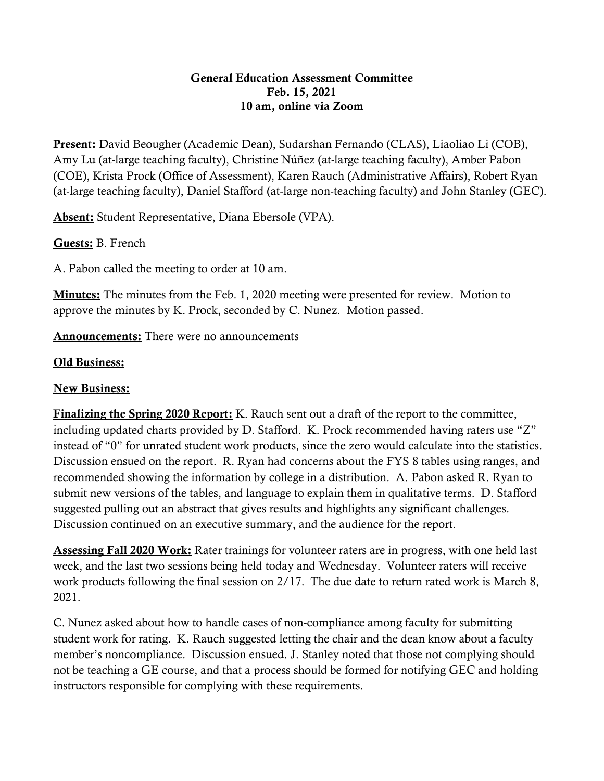## General Education Assessment Committee Feb. 15, 2021 10 am, online via Zoom

Present: David Beougher (Academic Dean), Sudarshan Fernando (CLAS), Liaoliao Li (COB), Amy Lu (at-large teaching faculty), Christine Núñez (at-large teaching faculty), Amber Pabon (COE), Krista Prock (Office of Assessment), Karen Rauch (Administrative Affairs), Robert Ryan (at-large teaching faculty), Daniel Stafford (at-large non-teaching faculty) and John Stanley (GEC).

Absent: Student Representative, Diana Ebersole (VPA).

Guests: B. French

A. Pabon called the meeting to order at 10 am.

**Minutes:** The minutes from the Feb. 1, 2020 meeting were presented for review. Motion to approve the minutes by K. Prock, seconded by C. Nunez. Motion passed.

Announcements: There were no announcements

## Old Business:

## New Business:

Finalizing the Spring 2020 Report: K. Rauch sent out a draft of the report to the committee, including updated charts provided by D. Stafford. K. Prock recommended having raters use "Z" instead of "0" for unrated student work products, since the zero would calculate into the statistics. Discussion ensued on the report. R. Ryan had concerns about the FYS 8 tables using ranges, and recommended showing the information by college in a distribution. A. Pabon asked R. Ryan to submit new versions of the tables, and language to explain them in qualitative terms. D. Stafford suggested pulling out an abstract that gives results and highlights any significant challenges. Discussion continued on an executive summary, and the audience for the report.

Assessing Fall 2020 Work: Rater trainings for volunteer raters are in progress, with one held last week, and the last two sessions being held today and Wednesday. Volunteer raters will receive work products following the final session on 2/17. The due date to return rated work is March 8, 2021.

C. Nunez asked about how to handle cases of non-compliance among faculty for submitting student work for rating. K. Rauch suggested letting the chair and the dean know about a faculty member's noncompliance. Discussion ensued. J. Stanley noted that those not complying should not be teaching a GE course, and that a process should be formed for notifying GEC and holding instructors responsible for complying with these requirements.